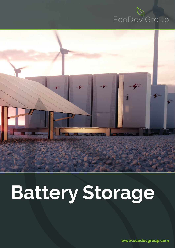



# **Battery Storage**

**www.ecodevgroup.com**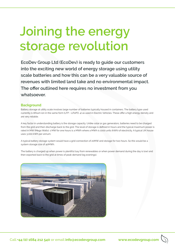## **Joining the energy storage revolution**

**EcoDev Group Ltd (EcoDev) is ready to guide our customers into the exciting new world of energy storage using utility scale batteries and how this can be a very valuable source of revenues with limited land take and no environmental impact. The offer outlined here requires no investment from you whatsoever.**

#### **Background**

Battery storage at utility scale involves large number of batteries typically housed in containers. The battery type used currently is lithium ion in the same form (LFP - LiFePO. 4) as used in Electric Vehicles. These offer a high energy density and are very reliable.

A key factor in understanding battery is the storage capacity. Unlike solar or gas generators, batteries need to be charged from the grid and then discharge back to the grid. The level of storage is defined in hours and the typical maximum power is rated in MW (Mega Watts). 1 MW for one hours is a MWh where a MWh is 1000 units (kWh) of electricity. A typical UK house uses 3,000 kWh per annum.

A typical battery storage system would have a grid connection of 20MW and storage for two hours. So this would be a system storage size of 40MWh.

The battery is charged up when power is plentiful (say from renewables or when power demand during the day is low) and then exported back to the grid at times of peak demand (eg evenings).

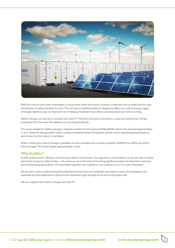

With the move to ever more renewables an issue arises when this source of power is reduced such as night time for solar and periods of settled weather for wind. This can lead to stability problems (frequency effects) as well as energy supply shortages. Batteries play an important role in helping moderate these effects and stop blackouts from occurring.

Battery storage can also be co-located with solar PV. Here the same grid connection is used and during times of high production from the solar the batteries can be charged directly.

The space needed for battery storage is relatively modest. For the typical 20MW/40MWh above this will need approximately ¼ acre. While the storage itself is silent, cooling is needed to keep the batteries at their correct operating temperatures so some noise, be this modest, is inevitable.

While in theory any scale of storage is possible we see a sensible limit currently of 50MW/300MWh (so 50MW grid with 6 hours storage). This would require approximately 2 acres.

#### **Why EcoDev?**

EcoDev prides itself in offering a fare and open deal to land owners. Our approach is not predatory nor do we seek to obtain exclusivity during our initial studies - only when we are at the point of incurring significant project development costs (eg grid and planning applications). All reasonable legal fees are covered so our customers incur no costs whatsoever.

We present a clear model showing the potential revenues from an installation and explain clearly the timetable to be expected and the protections in place for the landowner right through to the end of the project life.

We can support both battery storage and solar PV.